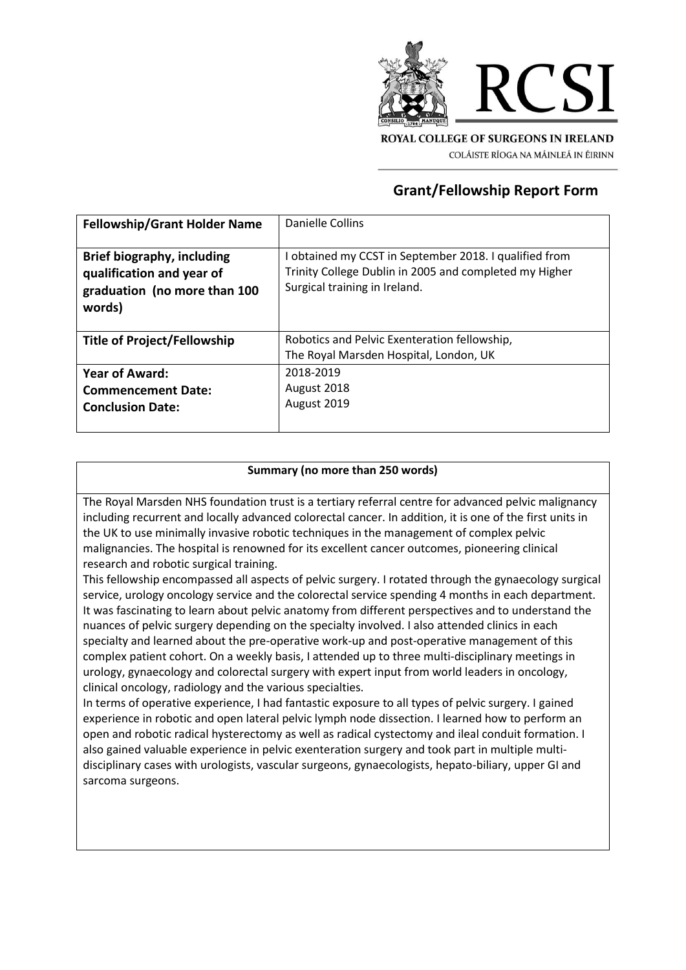

## **Grant/Fellowship Report Form**

| <b>Fellowship/Grant Holder Name</b>                                                                      | Danielle Collins                                                                                                                                  |
|----------------------------------------------------------------------------------------------------------|---------------------------------------------------------------------------------------------------------------------------------------------------|
| <b>Brief biography, including</b><br>qualification and year of<br>graduation (no more than 100<br>words) | I obtained my CCST in September 2018. I qualified from<br>Trinity College Dublin in 2005 and completed my Higher<br>Surgical training in Ireland. |
| <b>Title of Project/Fellowship</b>                                                                       | Robotics and Pelvic Exenteration fellowship,<br>The Royal Marsden Hospital, London, UK                                                            |
| <b>Year of Award:</b><br><b>Commencement Date:</b><br><b>Conclusion Date:</b>                            | 2018-2019<br>August 2018<br>August 2019                                                                                                           |

## **Summary (no more than 250 words)**

The Royal Marsden NHS foundation trust is a tertiary referral centre for advanced pelvic malignancy including recurrent and locally advanced colorectal cancer. In addition, it is one of the first units in the UK to use minimally invasive robotic techniques in the management of complex pelvic malignancies. The hospital is renowned for its excellent cancer outcomes, pioneering clinical research and robotic surgical training.

This fellowship encompassed all aspects of pelvic surgery. I rotated through the gynaecology surgical service, urology oncology service and the colorectal service spending 4 months in each department. It was fascinating to learn about pelvic anatomy from different perspectives and to understand the nuances of pelvic surgery depending on the specialty involved. I also attended clinics in each specialty and learned about the pre-operative work-up and post-operative management of this complex patient cohort. On a weekly basis, I attended up to three multi-disciplinary meetings in urology, gynaecology and colorectal surgery with expert input from world leaders in oncology, clinical oncology, radiology and the various specialties.

In terms of operative experience, I had fantastic exposure to all types of pelvic surgery. I gained experience in robotic and open lateral pelvic lymph node dissection. I learned how to perform an open and robotic radical hysterectomy as well as radical cystectomy and ileal conduit formation. I also gained valuable experience in pelvic exenteration surgery and took part in multiple multidisciplinary cases with urologists, vascular surgeons, gynaecologists, hepato-biliary, upper GI and sarcoma surgeons.